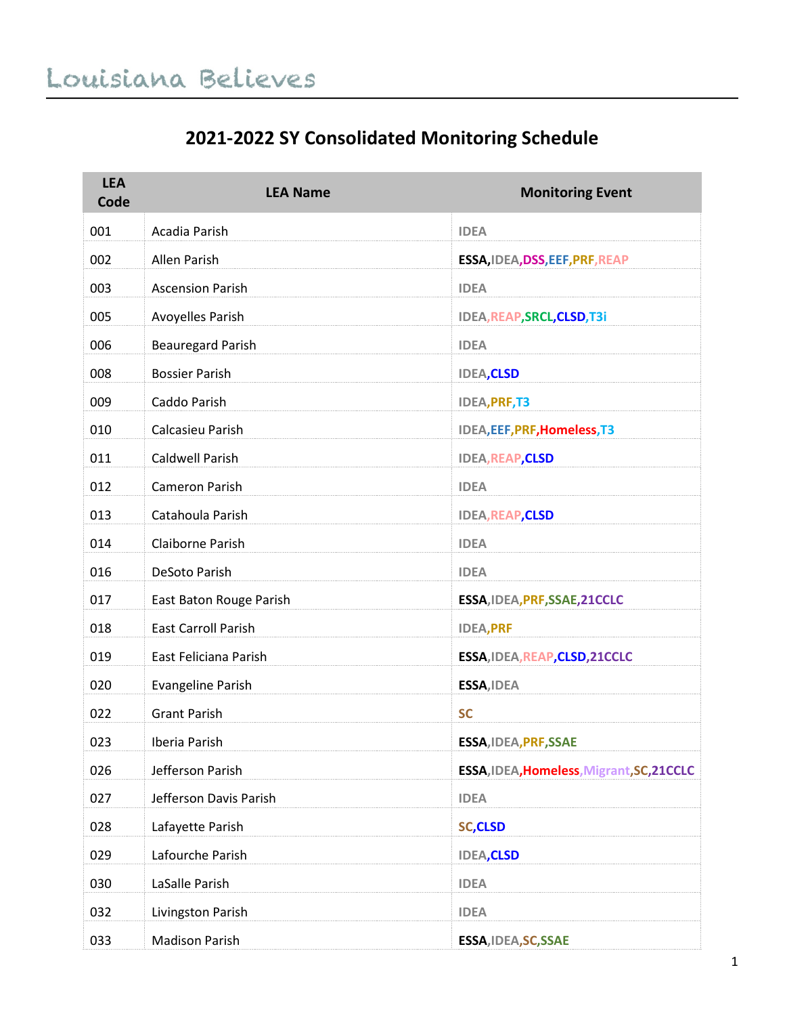#### **2021-2022 SY Consolidated Monitoring Schedule**

| <b>LEA</b><br>Code | <b>LEA Name</b>            | <b>Monitoring Event</b>                   |
|--------------------|----------------------------|-------------------------------------------|
| 001                | Acadia Parish              | <b>IDEA</b>                               |
| 002                | Allen Parish               | ESSA, IDEA, DSS, EEF, PRF, REAP           |
| 003                | <b>Ascension Parish</b>    | <b>IDEA</b>                               |
| 005                | Avoyelles Parish           | IDEA, REAP, SRCL, CLSD, T3i               |
| 006                | <b>Beauregard Parish</b>   | <b>IDEA</b>                               |
| 008                | <b>Bossier Parish</b>      | <b>IDEA, CLSD</b>                         |
| 009                | Caddo Parish               | <b>IDEA, PRF, T3</b>                      |
| 010                | Calcasieu Parish           | IDEA, EEF, PRF, Homeless, T3              |
| 011                | <b>Caldwell Parish</b>     | <b>IDEA, REAP, CLSD</b>                   |
| 012                | Cameron Parish             | <b>IDEA</b>                               |
| 013                | Catahoula Parish           | <b>IDEA, REAP, CLSD</b>                   |
| 014                | Claiborne Parish           | <b>IDEA</b>                               |
| 016                | DeSoto Parish              | <b>IDEA</b>                               |
| 017                | East Baton Rouge Parish    | ESSA, IDEA, PRF, SSAE, 21CCLC             |
| 018                | <b>East Carroll Parish</b> | <b>IDEA, PRF</b>                          |
| 019                | East Feliciana Parish      | ESSA, IDEA, REAP, CLSD, 21CCLC            |
| 020                | <b>Evangeline Parish</b>   | ESSA, IDEA                                |
| 022                | <b>Grant Parish</b>        | <b>SC</b>                                 |
| 023                | Iberia Parish              | ESSA, IDEA, PRF, SSAE                     |
| 026                | Jefferson Parish           | ESSA, IDEA, Homeless, Migrant, SC, 21CCLC |
| 027                | Jefferson Davis Parish     | <b>IDEA</b>                               |
| 028                | Lafayette Parish           | <b>SC,CLSD</b>                            |
| 029                | Lafourche Parish           | <b>IDEA, CLSD</b>                         |
| 030                | LaSalle Parish             | <b>IDEA</b>                               |
| 032                | Livingston Parish          | <b>IDEA</b>                               |
| 033                | <b>Madison Parish</b>      | ESSA, IDEA, SC, SSAE                      |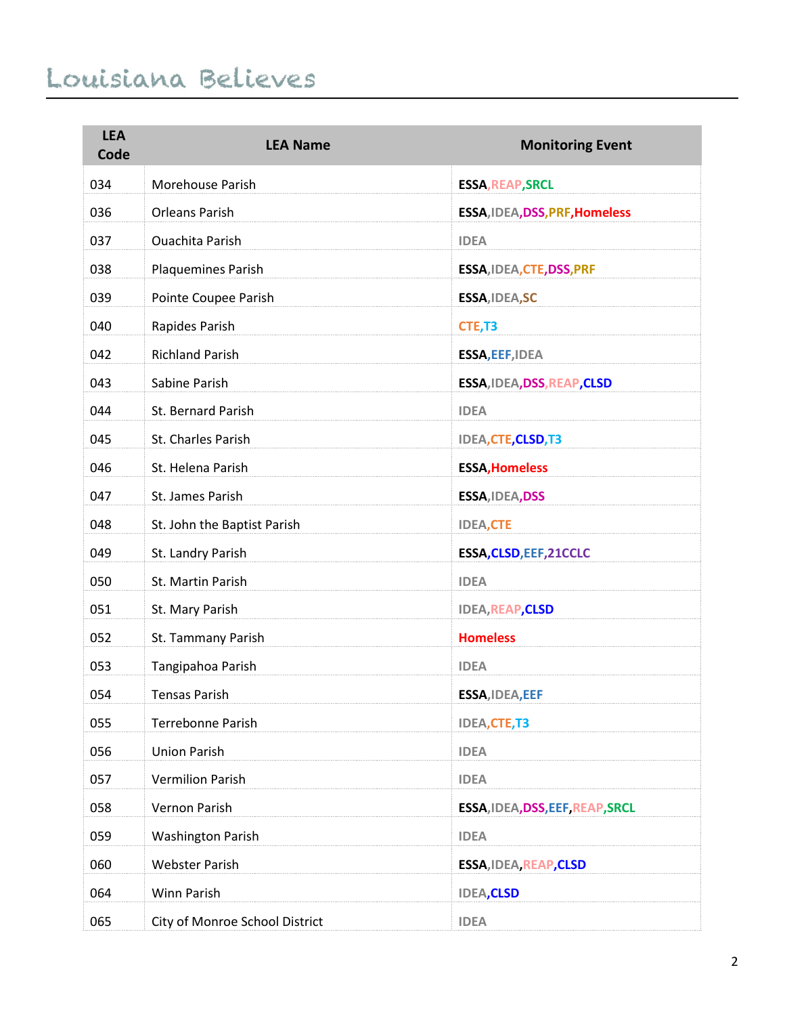| <b>LEA</b><br>Code | <b>LEA Name</b>                | <b>Monitoring Event</b>          |
|--------------------|--------------------------------|----------------------------------|
| 034                | Morehouse Parish               | <b>ESSA, REAP, SRCL</b>          |
| 036                | <b>Orleans Parish</b>          | ESSA, IDEA, DSS, PRF, Homeless   |
| 037                | <b>Ouachita Parish</b>         | <b>IDEA</b>                      |
| 038                | Plaquemines Parish             | ESSA, IDEA, CTE, DSS, PRF        |
| 039                | Pointe Coupee Parish           | ESSA, IDEA, SC                   |
| 040                | Rapides Parish                 | CTE, T3                          |
| 042                | <b>Richland Parish</b>         | ESSA, EEF, IDEA                  |
| 043                | Sabine Parish                  | ESSA, IDEA, DSS, REAP, CLSD      |
| 044                | St. Bernard Parish             | <b>IDEA</b>                      |
| 045                | St. Charles Parish             | <b>IDEA, CTE, CLSD, T3</b>       |
| 046                | St. Helena Parish              | <b>ESSA, Homeless</b>            |
| 047                | St. James Parish               | ESSA, IDEA, DSS                  |
| 048                | St. John the Baptist Parish    | <b>IDEA,CTE</b>                  |
| 049                | St. Landry Parish              | ESSA, CLSD, EEF, 21CCLC          |
| 050                | St. Martin Parish              | <b>IDEA</b>                      |
| 051                | St. Mary Parish                | <b>IDEA, REAP, CLSD</b>          |
| 052                | St. Tammany Parish             | <b>Homeless</b>                  |
| 053                | Tangipahoa Parish              | <b>IDEA</b>                      |
| 054                | <b>Tensas Parish</b>           | ESSA, IDEA, EEF                  |
| 055                | <b>Terrebonne Parish</b>       | <b>IDEA,CTE,T3</b>               |
| 056                | <b>Union Parish</b>            | <b>IDEA</b>                      |
| 057                | <b>Vermilion Parish</b>        | <b>IDEA</b>                      |
| 058                | Vernon Parish                  | ESSA, IDEA, DSS, EEF, REAP, SRCL |
| 059                | <b>Washington Parish</b>       | <b>IDEA</b>                      |
| 060                | <b>Webster Parish</b>          | ESSA, IDEA, REAP, CLSD           |
| 064                | Winn Parish                    | <b>IDEA, CLSD</b>                |
| 065                | City of Monroe School District | <b>IDEA</b>                      |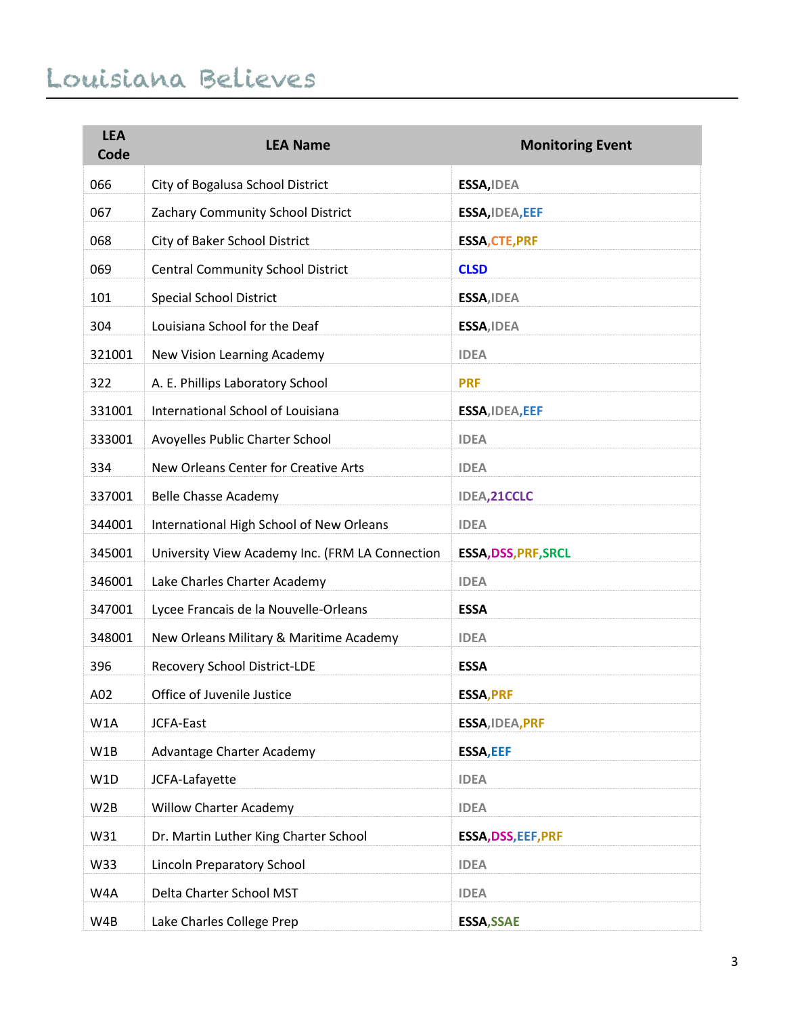| <b>LEA</b><br>Code | <b>LEA Name</b>                                 | <b>Monitoring Event</b>     |
|--------------------|-------------------------------------------------|-----------------------------|
| 066                | City of Bogalusa School District                | ESSA, IDEA                  |
| 067                | Zachary Community School District               | ESSA, IDEA, EEF             |
| 068                | City of Baker School District                   | <b>ESSA, CTE, PRF</b>       |
| 069                | <b>Central Community School District</b>        | <b>CLSD</b>                 |
| 101                | <b>Special School District</b>                  | ESSA, IDEA                  |
| 304                | Louisiana School for the Deaf                   | ESSA, IDEA                  |
| 321001             | New Vision Learning Academy                     | <b>IDEA</b>                 |
| 322                | A. E. Phillips Laboratory School                | <b>PRF</b>                  |
| 331001             | International School of Louisiana               | ESSA, IDEA, EEF             |
| 333001             | Avoyelles Public Charter School                 | <b>IDEA</b>                 |
| 334                | New Orleans Center for Creative Arts            | <b>IDEA</b>                 |
| 337001             | <b>Belle Chasse Academy</b>                     | IDEA, 21CCLC                |
| 344001             | International High School of New Orleans        | <b>IDEA</b>                 |
| 345001             | University View Academy Inc. (FRM LA Connection | <b>ESSA, DSS, PRF, SRCL</b> |
| 346001             | Lake Charles Charter Academy                    | <b>IDEA</b>                 |
| 347001             | Lycee Francais de la Nouvelle-Orleans           | <b>ESSA</b>                 |
| 348001             | New Orleans Military & Maritime Academy         | <b>IDEA</b>                 |
| 396                | Recovery School District-LDE                    | <b>ESSA</b>                 |
| A02                | Office of Juvenile Justice                      | <b>ESSA, PRF</b>            |
| W1A                | JCFA-East                                       | ESSA, IDEA, PRF             |
| W1B                | Advantage Charter Academy                       | <b>ESSA, EEF</b>            |
| W1D                | JCFA-Lafayette                                  | <b>IDEA</b>                 |
| W <sub>2</sub> B   | <b>Willow Charter Academy</b>                   | <b>IDEA</b>                 |
| W31                | Dr. Martin Luther King Charter School           | ESSA, DSS, EEF, PRF         |
| W33                | Lincoln Preparatory School                      | <b>IDEA</b>                 |
| W4A                | Delta Charter School MST                        | <b>IDEA</b>                 |
| W4B                | Lake Charles College Prep                       | <b>ESSA, SSAE</b>           |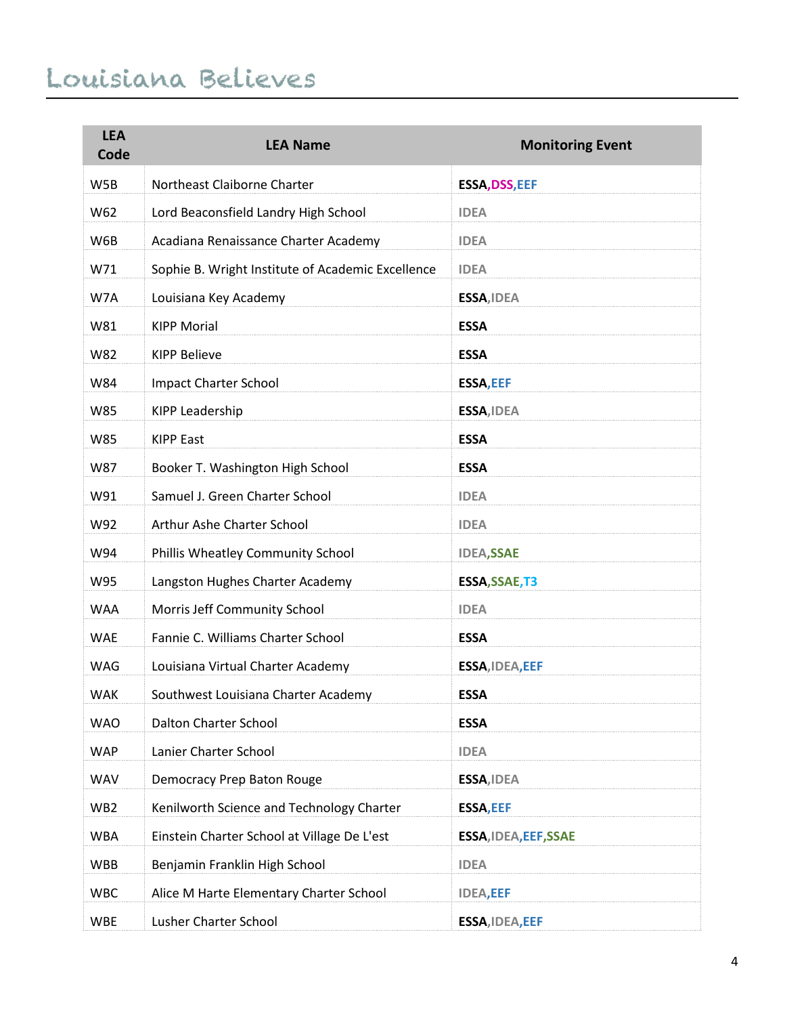| <b>LEA</b><br>Code | <b>LEA Name</b>                                   | <b>Monitoring Event</b>      |
|--------------------|---------------------------------------------------|------------------------------|
| W5B                | Northeast Claiborne Charter                       | <b>ESSA, DSS, EEF</b>        |
| W62                | Lord Beaconsfield Landry High School              | <b>IDEA</b>                  |
| W6B                | Acadiana Renaissance Charter Academy              | <b>IDEA</b>                  |
| W71                | Sophie B. Wright Institute of Academic Excellence | <b>IDEA</b>                  |
| W7A                | Louisiana Key Academy                             | ESSA, IDEA                   |
| W81                | <b>KIPP Morial</b>                                | <b>ESSA</b>                  |
| W82                | <b>KIPP Believe</b>                               | <b>ESSA</b>                  |
| W84                | <b>Impact Charter School</b>                      | <b>ESSA, EEF</b>             |
| W85                | KIPP Leadership                                   | ESSA, IDEA                   |
| W85                | <b>KIPP East</b>                                  | <b>ESSA</b>                  |
| W87                | Booker T. Washington High School                  | <b>ESSA</b>                  |
| W91                | Samuel J. Green Charter School                    | <b>IDEA</b>                  |
| W92                | Arthur Ashe Charter School                        | <b>IDEA</b>                  |
| W94                | Phillis Wheatley Community School                 | <b>IDEA,SSAE</b>             |
| W95                | Langston Hughes Charter Academy                   | ESSA, SSAE, T3               |
| <b>WAA</b>         | Morris Jeff Community School                      | <b>IDEA</b>                  |
| <b>WAE</b>         | Fannie C. Williams Charter School                 | <b>ESSA</b>                  |
| <b>WAG</b>         | Louisiana Virtual Charter Academy                 | ESSA, IDEA, EEF              |
| <b>WAK</b>         | Southwest Louisiana Charter Academy               | <b>ESSA</b>                  |
| <b>WAO</b>         | Dalton Charter School                             | <b>ESSA</b>                  |
| <b>WAP</b>         | Lanier Charter School                             | <b>IDEA</b>                  |
| <b>WAV</b>         | Democracy Prep Baton Rouge                        | ESSA, IDEA                   |
| WB <sub>2</sub>    | Kenilworth Science and Technology Charter         | <b>ESSA, EEF</b>             |
| <b>WBA</b>         | Einstein Charter School at Village De L'est       | <b>ESSA, IDEA, EEF, SSAE</b> |
| <b>WBB</b>         | Benjamin Franklin High School                     | <b>IDEA</b>                  |
| <b>WBC</b>         | Alice M Harte Elementary Charter School           | <b>IDEA,EEF</b>              |
| <b>WBE</b>         | Lusher Charter School                             | ESSA, IDEA, EEF              |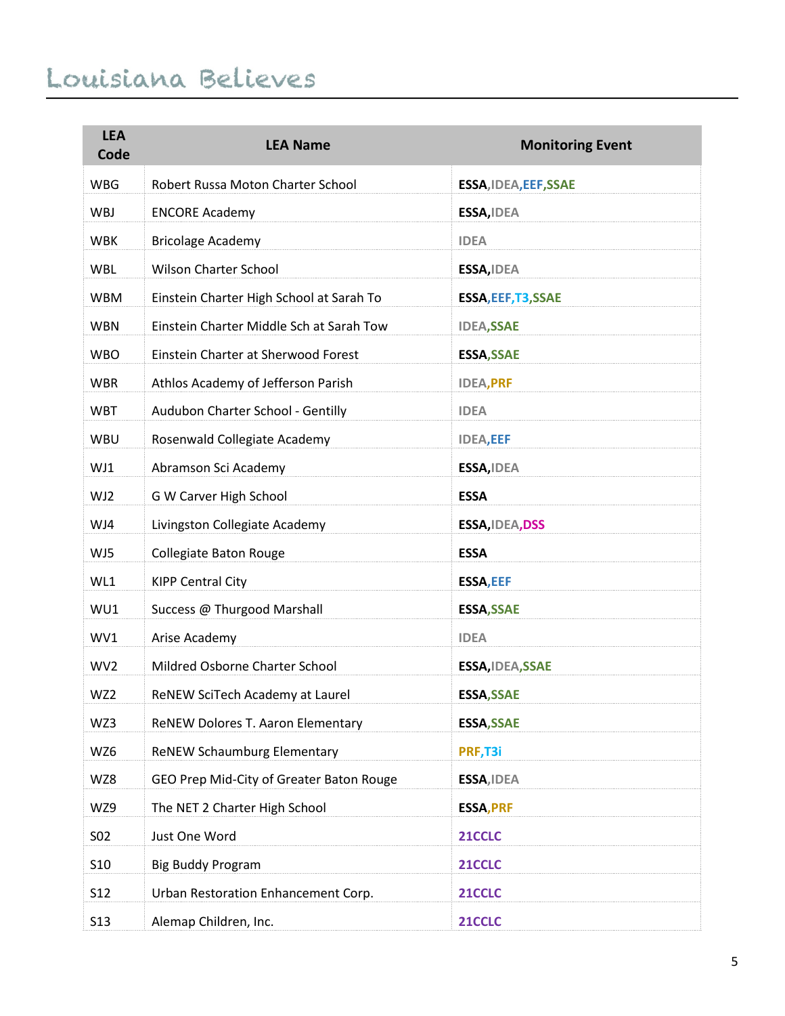| <b>LEA</b><br>Code | <b>LEA Name</b>                          | <b>Monitoring Event</b> |
|--------------------|------------------------------------------|-------------------------|
| <b>WBG</b>         | Robert Russa Moton Charter School        | ESSA, IDEA, EEF, SSAE   |
| WBJ                | <b>ENCORE Academy</b>                    | ESSA, IDEA              |
| <b>WBK</b>         | <b>Bricolage Academy</b>                 | <b>IDEA</b>             |
| <b>WBL</b>         | <b>Wilson Charter School</b>             | ESSA, IDEA              |
| <b>WBM</b>         | Einstein Charter High School at Sarah To | ESSA, EEF, T3, SSAE     |
| <b>WBN</b>         | Einstein Charter Middle Sch at Sarah Tow | <b>IDEA,SSAE</b>        |
| <b>WBO</b>         | Einstein Charter at Sherwood Forest      | <b>ESSA, SSAE</b>       |
| <b>WBR</b>         | Athlos Academy of Jefferson Parish       | <b>IDEA, PRF</b>        |
| <b>WBT</b>         | Audubon Charter School - Gentilly        | <b>IDEA</b>             |
| WBU                | Rosenwald Collegiate Academy             | <b>IDEA,EEF</b>         |
| WJ1                | Abramson Sci Academy                     | ESSA, IDEA              |
| WJ2                | G W Carver High School                   | <b>ESSA</b>             |
| WJ4                | Livingston Collegiate Academy            | ESSA, IDEA, DSS         |
| WJ5                | Collegiate Baton Rouge                   | <b>ESSA</b>             |
| WL1                | <b>KIPP Central City</b>                 | <b>ESSA, EEF</b>        |
| WU1                | Success @ Thurgood Marshall              | <b>ESSA, SSAE</b>       |
| WV1                | Arise Academy                            | <b>IDEA</b>             |
| WV <sub>2</sub>    | Mildred Osborne Charter School           | ESSA, IDEA, SSAE        |
| WZ2                | ReNEW SciTech Academy at Laurel          | <b>ESSA, SSAE</b>       |
| WZ3                | ReNEW Dolores T. Aaron Elementary        | <b>ESSA, SSAE</b>       |
| WZ6                | <b>ReNEW Schaumburg Elementary</b>       | PRF, T3i                |
| WZ8                | GEO Prep Mid-City of Greater Baton Rouge | ESSA, IDEA              |
| WZ9                | The NET 2 Charter High School            | <b>ESSA, PRF</b>        |
| S02                | Just One Word                            | 21CCLC                  |
| S <sub>10</sub>    | <b>Big Buddy Program</b>                 | 21CCLC                  |
| <b>S12</b>         | Urban Restoration Enhancement Corp.      | 21CCLC                  |
| <b>S13</b>         | Alemap Children, Inc.                    | 21CCLC                  |